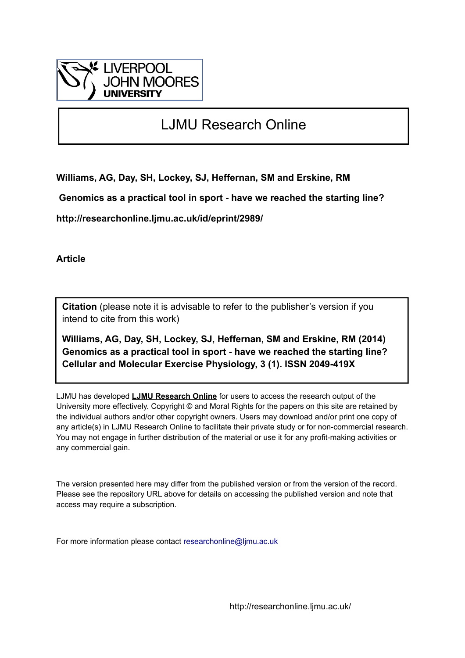

## LJMU Research Online

**Williams, AG, Day, SH, Lockey, SJ, Heffernan, SM and Erskine, RM**

 **Genomics as a practical tool in sport - have we reached the starting line?**

**http://researchonline.ljmu.ac.uk/id/eprint/2989/**

**Article**

**Citation** (please note it is advisable to refer to the publisher's version if you intend to cite from this work)

**Williams, AG, Day, SH, Lockey, SJ, Heffernan, SM and Erskine, RM (2014) Genomics as a practical tool in sport - have we reached the starting line? Cellular and Molecular Exercise Physiology, 3 (1). ISSN 2049-419X** 

LJMU has developed **[LJMU Research Online](http://researchonline.ljmu.ac.uk/)** for users to access the research output of the University more effectively. Copyright © and Moral Rights for the papers on this site are retained by the individual authors and/or other copyright owners. Users may download and/or print one copy of any article(s) in LJMU Research Online to facilitate their private study or for non-commercial research. You may not engage in further distribution of the material or use it for any profit-making activities or any commercial gain.

The version presented here may differ from the published version or from the version of the record. Please see the repository URL above for details on accessing the published version and note that access may require a subscription.

For more information please contact [researchonline@ljmu.ac.uk](mailto:researchonline@ljmu.ac.uk)

http://researchonline.ljmu.ac.uk/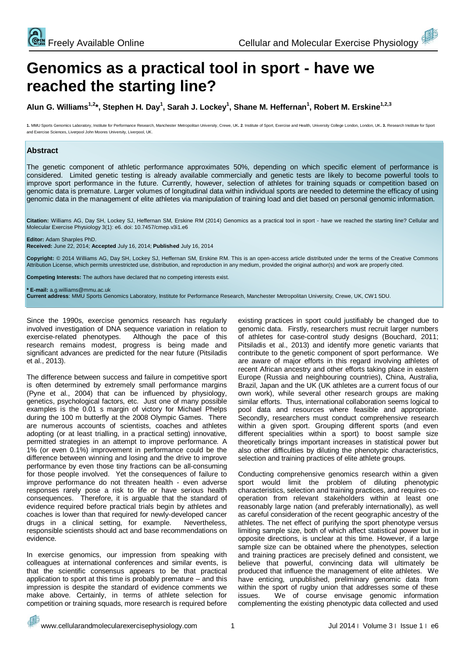# **Genomics as a practical tool in sport - have we reached the starting line?**

**Alun G. Williams1,2\*, Stephen H. Day<sup>1</sup> , Sarah J. Lockey<sup>1</sup> , Shane M. Heffernan<sup>1</sup> , Robert M. Erskine1,2,3**

1. MMU Sports Genomics Laboratory, Institute for Performance Research, Manchester Metropolitan University, Crewe, UK. 2. Institute of Sport, Exercise and Health, University, College London, London, UK. 3. Research Institut and Exercise Sciences, Liverpool John Moores University, Liverpool, UK.

#### **Abstract**

The genetic component of athletic performance approximates 50%, depending on which specific element of performance is considered. Limited genetic testing is already available commercially and genetic tests are likely to become powerful tools to improve sport performance in the future. Currently, however, selection of athletes for training squads or competition based on genomic data is premature. Larger volumes of longitudinal data within individual sports are needed to determine the efficacy of using genomic data in the management of elite athletes via manipulation of training load and diet based on personal genomic information.

**Citation:** Williams AG, Day SH, Lockey SJ, Heffernan SM, Erskine RM (2014) Genomics as a practical tool in sport - have we reached the starting line? Cellular and Molecular Exercise Physiology 3(1): e6. doi: 10.7457/cmep.v3i1.e6

**Editor:** Adam Sharples PhD. **Received:** June 22, 2014; **Accepted** July 16, 2014; **Published** July 16, 2014

**Copyright:** © 2014 Williams AG, Day SH, Lockey SJ, Heffernan SM, Erskine RM. This is an open-access article distributed under the terms of the Creative Commons Attribution License, which permits unrestricted use, distribution, and reproduction in any medium, provided the original author(s) and work are properly cited.

**Competing Interests:** The authors have declared that no competing interests exist.

**\* E-mail:** a.g.williams@mmu.ac.uk

**Current address**: MMU Sports Genomics Laboratory, Institute for Performance Research, Manchester Metropolitan University, Crewe, UK, CW1 5DU.

Since the 1990s, exercise genomics research has regularly involved investigation of DNA sequence variation in relation to exercise-related phenotypes. Although the pace of this research remains modest, progress is being made and significant advances are predicted for the near future (Pitsiladis et al., 2013).

The difference between success and failure in competitive sport is often determined by extremely small performance margins (Pyne et al., 2004) that can be influenced by physiology, genetics, psychological factors, etc. Just one of many possible examples is the 0.01 s margin of victory for Michael Phelps during the 100 m butterfly at the 2008 Olympic Games. There are numerous accounts of scientists, coaches and athletes adopting (or at least trialling, in a practical setting) innovative, permitted strategies in an attempt to improve performance. A 1% (or even 0.1%) improvement in performance could be the difference between winning and losing and the drive to improve performance by even those tiny fractions can be all-consuming for those people involved. Yet the consequences of failure to improve performance do not threaten health - even adverse responses rarely pose a risk to life or have serious health consequences. Therefore, it is arguable that the standard of evidence required before practical trials begin by athletes and coaches is lower than that required for newly-developed cancer drugs in a clinical setting, for example. Nevertheless, responsible scientists should act and base recommendations on evidence.

In exercise genomics, our impression from speaking with colleagues at international conferences and similar events, is that the scientific consensus appears to be that practical application to sport at this time is probably premature – and this impression is despite the standard of evidence comments we make above. Certainly, in terms of athlete selection for competition or training squads, more research is required before

existing practices in sport could justifiably be changed due to genomic data. Firstly, researchers must recruit larger numbers of athletes for case-control study designs (Bouchard, 2011; Pitsiladis et al., 2013) and identify more genetic variants that contribute to the genetic component of sport performance. We are aware of major efforts in this regard involving athletes of recent African ancestry and other efforts taking place in eastern Europe (Russia and neighbouring countries), China, Australia, Brazil, Japan and the UK (UK athletes are a current focus of our own work), while several other research groups are making similar efforts. Thus, international collaboration seems logical to pool data and resources where feasible and appropriate. Secondly, researchers must conduct comprehensive research within a given sport. Grouping different sports (and even different specialities within a sport) to boost sample size theoretically brings important increases in statistical power but also other difficulties by diluting the phenotypic characteristics, selection and training practices of elite athlete groups.

Conducting comprehensive genomics research within a given sport would limit the problem of diluting phenotypic characteristics, selection and training practices, and requires cooperation from relevant stakeholders within at least one reasonably large nation (and preferably internationally), as well as careful consideration of the recent geographic ancestry of the athletes. The net effect of purifying the sport phenotype versus limiting sample size, both of which affect statistical power but in opposite directions, is unclear at this time. However, if a large sample size can be obtained where the phenotypes, selection and training practices are precisely defined and consistent, we believe that powerful, convincing data will ultimately be produced that influence the management of elite athletes. We have enticing, unpublished, preliminary genomic data from within the sport of rugby union that addresses some of these issues. We of course envisage genomic information complementing the existing phenotypic data collected and used